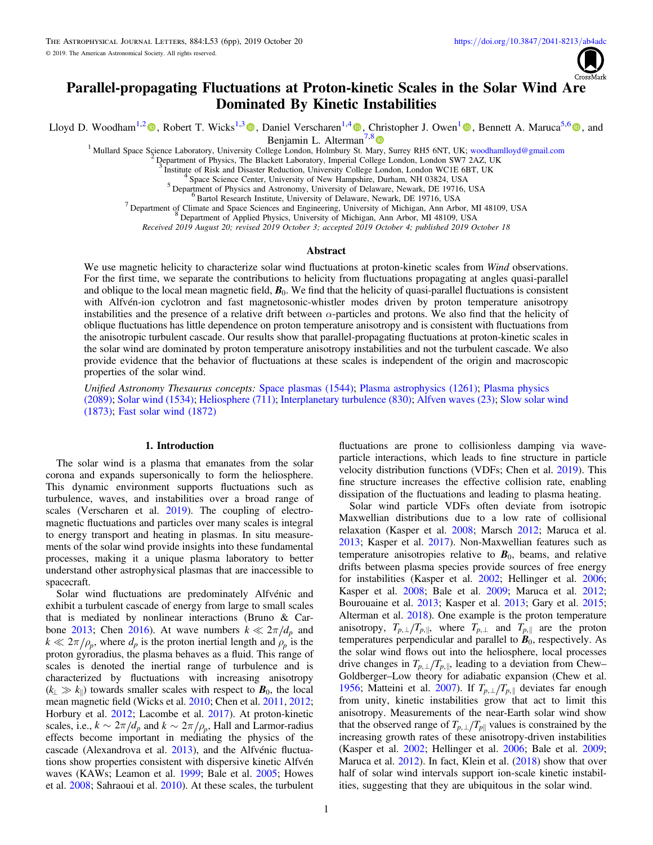

# Parallel-propagating Fluctuations at Proton-kinetic Scales in the Solar Wind Are Dominated By Kinetic Instabilities

Lloyd D. Woodham<sup>1,[2](https://orcid.org/0000-0003-2845-4250)</sup> , Robert T. Wicks<sup>1,[3](https://orcid.org/0000-0002-0622-5302)</sup> [,](https://orcid.org/0000-0002-2229-5618) Daniel Verscharen<sup>1,[4](https://orcid.org/0000-0002-0497-1096)</sup> , Christopher J. Owen<sup>[1](https://orcid.org/0000-0002-5982-4667)</sup> , Bennett A. Maruca<sup>5,[6](https://orcid.org/0000-0002-2229-5618)</sup> , and

Benjamin L. Alterman<sup>7,[8](https://orcid.org/0000-0001-6673-3432)</sup>

<sup>1</sup> Mullard Space Science Laboratory, University College London, Holmbury St. M[ary,](https://orcid.org/0000-0001-6673-3432) Surrey RH5 6NT, UK; [woodhamlloyd@gmail.com](mailto:woodhamlloyd@gmail.com) <sup>2</sup> Department of Physics, The Blackett Laboratory, Imperial College London, London SW7 2AZ, U

<sup>3</sup> Institute of Risk and Disaster Reduction, University College London, London WC1E 6BT, UK<br>
<sup>4</sup> Space Science Center, University of New Hampshire, Durham, NH 03824, USA<br>
<sup>5</sup> Department of Physics and Astronomy, Universi

Received 2019 August 20; revised 2019 October 3; accepted 2019 October 4; published 2019 October 18

### **Abstract**

We use magnetic helicity to characterize solar wind fluctuations at proton-kinetic scales from Wind observations. For the first time, we separate the contributions to helicity from fluctuations propagating at angles quasi-parallel and oblique to the local mean magnetic field,  $\mathbf{B}_0$ . We find that the helicity of quasi-parallel fluctuations is consistent with Alfvén-ion cyclotron and fast magnetosonic-whistler modes driven by proton temperature anisotropy instabilities and the presence of a relative drift between  $\alpha$ -particles and protons. We also find that the helicity of oblique fluctuations has little dependence on proton temperature anisotropy and is consistent with fluctuations from the anisotropic turbulent cascade. Our results show that parallel-propagating fluctuations at proton-kinetic scales in the solar wind are dominated by proton temperature anisotropy instabilities and not the turbulent cascade. We also provide evidence that the behavior of fluctuations at these scales is independent of the origin and macroscopic properties of the solar wind.

Unified Astronomy Thesaurus concepts: [Space plasmas](http://astrothesaurus.org/uat/1544) (1544); [Plasma astrophysics](http://astrothesaurus.org/uat/1261) (1261); [Plasma physics](http://astrothesaurus.org/uat/2089) ([2089](http://astrothesaurus.org/uat/2089)); [Solar wind](http://astrothesaurus.org/uat/1534) (1534); [Heliosphere](http://astrothesaurus.org/uat/711) (711); [Interplanetary turbulence](http://astrothesaurus.org/uat/830) (830); [Alfven waves](http://astrothesaurus.org/uat/23) (23); [Slow solar wind](http://astrothesaurus.org/uat/1873) ([1873](http://astrothesaurus.org/uat/1873)); [Fast solar wind](http://astrothesaurus.org/uat/1872) (1872)

# 1. Introduction

The solar wind is a plasma that emanates from the solar corona and expands supersonically to form the heliosphere. This dynamic environment supports fluctuations such as turbulence, waves, and instabilities over a broad range of scales (Verscharen et al. [2019](#page-5-0)). The coupling of electromagnetic fluctuations and particles over many scales is integral to energy transport and heating in plasmas. In situ measurements of the solar wind provide insights into these fundamental processes, making it a unique plasma laboratory to better understand other astrophysical plasmas that are inaccessible to spacecraft.

Solar wind fluctuations are predominately Alfvénic and exhibit a turbulent cascade of energy from large to small scales that is mediated by nonlinear interactions (Bruno & Car-bone [2013;](#page-4-0) Chen [2016](#page-4-0)). At wave numbers  $k \ll 2\pi/d_p$  and  $k \ll 2\pi/\rho_p$ , where  $d_p$  is the proton inertial length and  $\rho_p$  is the proton gyroradius, the plasma behaves as a fluid. This range of scales is denoted the inertial range of turbulence and is characterized by fluctuations with increasing anisotropy  $(k_{\perp} \gg k_{\parallel})$  towards smaller scales with respect to  $\mathbf{B}_0$ , the local mean magnetic field (Wicks et al. [2010](#page-5-0); Chen et al. [2011,](#page-4-0) [2012](#page-4-0); Horbury et al. [2012](#page-4-0); Lacombe et al. [2017](#page-5-0)). At proton-kinetic scales, i.e.,  $k \sim 2\pi/d_p$  and  $k \sim 2\pi/\rho_p$ , Hall and Larmor-radius effects become important in mediating the physics of the cascade (Alexandrova et al. [2013](#page-4-0)), and the Alfvénic fluctuations show properties consistent with dispersive kinetic Alfvén waves (KAWs; Leamon et al. [1999](#page-5-0); Bale et al. [2005](#page-4-0); Howes et al. [2008](#page-4-0); Sahraoui et al. [2010](#page-5-0)). At these scales, the turbulent

fluctuations are prone to collisionless damping via waveparticle interactions, which leads to fine structure in particle velocity distribution functions (VDFs; Chen et al. [2019](#page-4-0)). This fine structure increases the effective collision rate, enabling dissipation of the fluctuations and leading to plasma heating.

Solar wind particle VDFs often deviate from isotropic Maxwellian distributions due to a low rate of collisional relaxation (Kasper et al. [2008;](#page-4-0) Marsch [2012](#page-5-0); Maruca et al. [2013;](#page-5-0) Kasper et al. [2017](#page-4-0)). Non-Maxwellian features such as temperature anisotropies relative to  $B_0$ , beams, and relative drifts between plasma species provide sources of free energy for instabilities (Kasper et al. [2002;](#page-4-0) Hellinger et al. [2006](#page-4-0); Kasper et al. [2008;](#page-4-0) Bale et al. [2009](#page-4-0); Maruca et al. [2012](#page-5-0); Bourouaine et al. [2013](#page-4-0); Kasper et al. [2013;](#page-4-0) Gary et al. [2015](#page-4-0); Alterman et al. [2018](#page-4-0)). One example is the proton temperature anisotropy,  $T_{p,\perp}/T_{p,\parallel}$ , where  $T_{p,\perp}$  and  $T_{p,\parallel}$  are the proton temperatures perpendicular and parallel to  $B_0$ , respectively. As the solar wind flows out into the heliosphere, local processes drive changes in  $T_{p,\perp}/T_{p,\parallel}$ , leading to a deviation from Chew– Goldberger–Low theory for adiabatic expansion (Chew et al. [1956;](#page-4-0) Matteini et al. [2007](#page-5-0)). If  $T_{p,\perp}/T_{p,\parallel}$  deviates far enough from unity, kinetic instabilities grow that act to limit this anisotropy. Measurements of the near-Earth solar wind show that the observed range of  $T_{p,\perp}/T_{p\parallel}$  values is constrained by the increasing growth rates of these anisotropy-driven instabilities (Kasper et al. [2002](#page-4-0); Hellinger et al. [2006;](#page-4-0) Bale et al. [2009](#page-4-0); Maruca et al. [2012](#page-5-0)). In fact, Klein et al. ([2018](#page-4-0)) show that over half of solar wind intervals support ion-scale kinetic instabilities, suggesting that they are ubiquitous in the solar wind.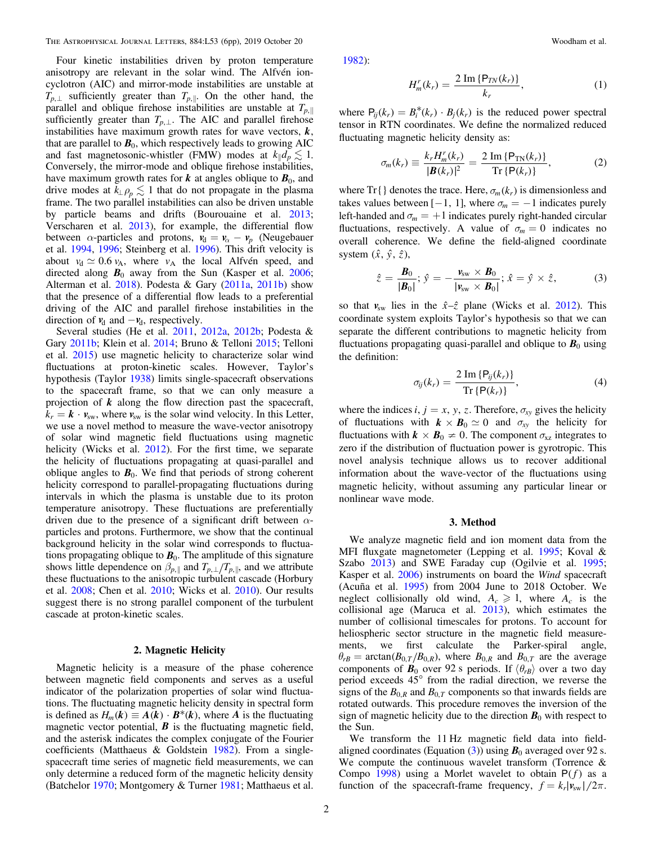<span id="page-1-0"></span>Four kinetic instabilities driven by proton temperature anisotropy are relevant in the solar wind. The Alfvén ioncyclotron (AIC) and mirror-mode instabilities are unstable at  $T_{p,\perp}$  sufficiently greater than  $T_{p,\parallel}$ . On the other hand, the parallel and oblique firehose instabilities are unstable at  $T_{p,\parallel}$ sufficiently greater than  $T_{p,\perp}$ . The AIC and parallel firehose instabilities have maximum growth rates for wave vectors, *k*, that are parallel to  $B_0$ , which respectively leads to growing AIC and fast magnetosonic-whistler (FMW) modes at  $k_{\parallel}d_p \lesssim 1$ . Conversely, the mirror-mode and oblique firehose instabilities, have maximum growth rates for  $k$  at angles oblique to  $B_0$ , and drive modes at  $k_{\perp} \rho_p \lesssim 1$  that do not propagate in the plasma frame. The two parallel instabilities can also be driven unstable by particle beams and drifts (Bourouaine et al. [2013](#page-4-0); Verscharen et al. [2013](#page-5-0)), for example, the differential flow between  $\alpha$ -particles and protons,  $v_d = v_\alpha - v_p$  (Neugebauer et al. [1994](#page-5-0), [1996;](#page-5-0) Steinberg et al. [1996](#page-5-0)). This drift velocity is about  $v_d \approx 0.6 v_A$ , where  $v_A$  the local Alfvén speed, and directed along  $B_0$  away from the Sun (Kasper et al. [2006](#page-4-0); Alterman et al. [2018](#page-4-0)). Podesta & Gary ([2011a,](#page-5-0) [2011b](#page-5-0)) show that the presence of a differential flow leads to a preferential driving of the AIC and parallel firehose instabilities in the direction of  $v_d$  and  $-v_d$ , respectively.

Several studies (He et al. [2011,](#page-4-0) [2012a,](#page-4-0) [2012b;](#page-4-0) Podesta & Gary [2011b;](#page-5-0) Klein et al. [2014](#page-5-0); Bruno & Telloni [2015;](#page-4-0) Telloni et al. [2015](#page-5-0)) use magnetic helicity to characterize solar wind fluctuations at proton-kinetic scales. However, Taylor's hypothesis (Taylor [1938](#page-5-0)) limits single-spacecraft observations to the spacecraft frame, so that we can only measure a projection of *k* along the flow direction past the spacecraft,  $k_r = \mathbf{k} \cdot \mathbf{v}_{sw}$ , where  $\mathbf{v}_{sw}$  is the solar wind velocity. In this Letter, we use a novel method to measure the wave-vector anisotropy of solar wind magnetic field fluctuations using magnetic helicity (Wicks et al. [2012](#page-5-0)). For the first time, we separate the helicity of fluctuations propagating at quasi-parallel and oblique angles to  $B_0$ . We find that periods of strong coherent helicity correspond to parallel-propagating fluctuations during intervals in which the plasma is unstable due to its proton temperature anisotropy. These fluctuations are preferentially driven due to the presence of a significant drift between  $\alpha$ particles and protons. Furthermore, we show that the continual background helicity in the solar wind corresponds to fluctuations propagating oblique to  $B_0$ . The amplitude of this signature shows little dependence on  $\beta_{p,\parallel}$  and  $T_{p,\perp}/T_{p,\parallel}$ , and we attribute these fluctuations to the anisotropic turbulent cascade (Horbury et al. [2008;](#page-4-0) Chen et al. [2010](#page-4-0); Wicks et al. [2010](#page-5-0)). Our results suggest there is no strong parallel component of the turbulent cascade at proton-kinetic scales.

#### 2. Magnetic Helicity

Magnetic helicity is a measure of the phase coherence between magnetic field components and serves as a useful indicator of the polarization properties of solar wind fluctuations. The fluctuating magnetic helicity density in spectral form is defined as  $H_m(k) \equiv A(k) \cdot B^*(k)$ , where *A* is the fluctuating magnetic vector potential,  $\boldsymbol{B}$  is the fluctuating magnetic field, and the asterisk indicates the complex conjugate of the Fourier coefficients (Matthaeus & Goldstein [1982](#page-5-0)). From a singlespacecraft time series of magnetic field measurements, we can only determine a reduced form of the magnetic helicity density (Batchelor [1970;](#page-4-0) Montgomery & Turner [1981;](#page-5-0) Matthaeus et al.

[1982](#page-5-0)):

$$
H_m^r(k_r) = \frac{2 \operatorname{Im} \{ \mathsf{P}_{TN}(k_r) \}}{k_r},\tag{1}
$$

where  $P_{ii}(k_r) = B_i^*(k_r) \cdot B_i(k_r)$  is the reduced power spectral tensor in RTN coordinates. We define the normalized reduced fluctuating magnetic helicity density as:

$$
\sigma_m(k_r) \equiv \frac{k_r H_m^r(k_r)}{|\mathbf{B}(k_r)|^2} = \frac{2 \operatorname{Im} \{ \mathsf{P}_{\text{TN}}(k_r) \}}{\operatorname{Tr} \{ \mathsf{P}(k_r) \}},
$$
(2)

where  $Tr\{\}$  denotes the trace. Here,  $\sigma_m(k_r)$  is dimensionless and takes values between  $[-1, 1]$ , where  $\sigma_m = -1$  indicates purely left-handed and  $\sigma_m = +1$  indicates purely right-handed circular fluctuations, respectively. A value of  $\sigma_m = 0$  indicates no overall coherence. We define the field-aligned coordinate system  $(\hat{x}, \hat{y}, \hat{z})$ ,

$$
\hat{z} = \frac{\boldsymbol{B}_0}{|\boldsymbol{B}_0|}; \, \hat{y} = -\frac{\boldsymbol{v}_{\text{sw}} \times \boldsymbol{B}_0}{|\boldsymbol{v}_{\text{sw}} \times \boldsymbol{B}_0|}; \, \hat{x} = \hat{y} \times \hat{z}, \tag{3}
$$

so that  $v_{sw}$  lies in the  $\hat{x} - \hat{z}$  plane (Wicks et al. [2012](#page-5-0)). This coordinate system exploits Taylor's hypothesis so that we can separate the different contributions to magnetic helicity from fluctuations propagating quasi-parallel and oblique to  $B_0$  using the definition:

$$
\sigma_{ij}(k_r) = \frac{2 \operatorname{Im} \{ \mathsf{P}_{ij}(k_r) \}}{\operatorname{Tr} \{ \mathsf{P}(k_r) \}},\tag{4}
$$

where the indices *i*,  $j = x$ ,  $y$ ,  $z$ . Therefore,  $\sigma_{xy}$  gives the helicity of fluctuations with  $k \times B_0 \simeq 0$  and  $\sigma_{xy}$  the helicity for fluctuations with  $k \times B_0 \neq 0$ . The component  $\sigma_{xz}$  integrates to zero if the distribution of fluctuation power is gyrotropic. This novel analysis technique allows us to recover additional information about the wave-vector of the fluctuations using magnetic helicity, without assuming any particular linear or nonlinear wave mode.

### 3. Method

We analyze magnetic field and ion moment data from the MFI fluxgate magnetometer (Lepping et al. [1995;](#page-5-0) Koval & Szabo [2013](#page-5-0)) and SWE Faraday cup (Ogilvie et al. [1995](#page-5-0); Kasper et al. [2006](#page-4-0)) instruments on board the Wind spacecraft (Acuña et al. [1995](#page-4-0)) from 2004 June to 2018 October. We neglect collisionally old wind,  $A_c \ge 1$ , where  $A_c$  is the collisional age (Maruca et al. [2013](#page-5-0)), which estimates the number of collisional timescales for protons. To account for heliospheric sector structure in the magnetic field measurements, we first calculate the Parker-spiral angle,  $\theta_{rB}$  = arctan( $B_{0,T}/B_{0,R}$ ), where  $B_{0,R}$  and  $B_{0,T}$  are the average components of  $\mathbf{B}_0$  over 92 s periods. If  $\langle \theta_{rB} \rangle$  over a two day period exceeds 45° from the radial direction, we reverse the signs of the  $B_{0,R}$  and  $B_{0,T}$  components so that inwards fields are rotated outwards. This procedure removes the inversion of the sign of magnetic helicity due to the direction  $B_0$  with respect to the Sun.

We transform the 11 Hz magnetic field data into fieldaligned coordinates (Equation  $(3)$ ) using  $B_0$  averaged over 92 s. We compute the continuous wavelet transform (Torrence & Compo [1998](#page-5-0)) using a Morlet wavelet to obtain  $P(f)$  as a function of the spacecraft-frame frequency,  $f = k_r |v_{sw}|/2\pi$ .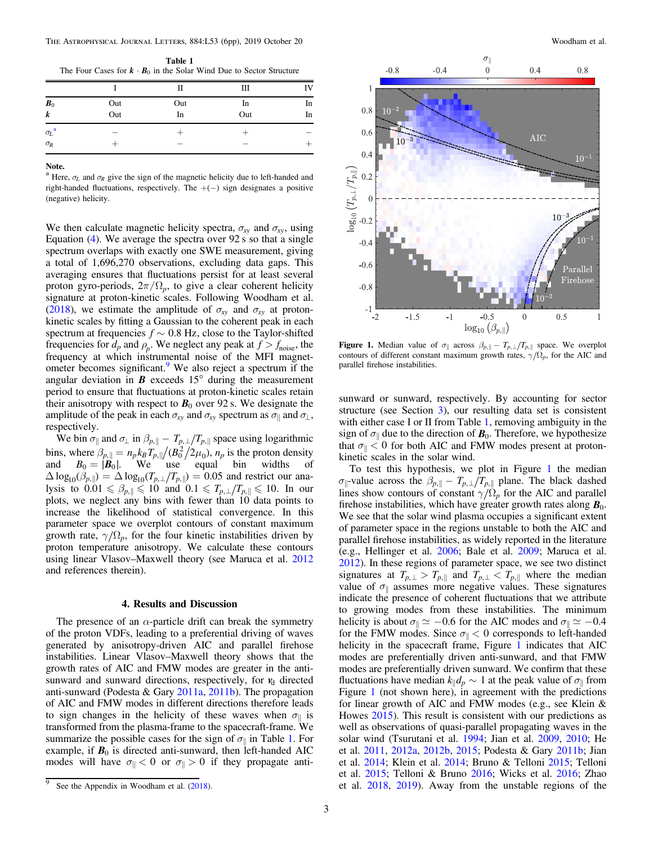<span id="page-2-0"></span>Table 1 The Four Cases for  $\mathbf{k} \cdot \mathbf{B}_0$  in the Solar Wind Due to Sector Structure

|                                |            | П         | Ш         | IV       |
|--------------------------------|------------|-----------|-----------|----------|
| $\bm{B}_0$<br>$\boldsymbol{k}$ | Out<br>Out | Out<br>In | In<br>Out | In<br>In |
| $\sigma_L$ <sup>a</sup>        |            |           |           |          |
| $\sigma_R$                     |            |           |           |          |

Note.

<sup>a</sup> Here,  $\sigma$ <sub>L</sub> and  $\sigma$ <sub>R</sub> give the sign of the magnetic helicity due to left-handed and right-handed fluctuations, respectively. The +(−) sign designates a positive (negative) helicity.

We then calculate magnetic helicity spectra,  $\sigma_{xy}$  and  $\sigma_{xy}$ , using Equation  $(4)$  $(4)$  $(4)$ . We average the spectra over 92 s so that a single spectrum overlaps with exactly one SWE measurement, giving a total of 1,696,270 observations, excluding data gaps. This averaging ensures that fluctuations persist for at least several proton gyro-periods,  $2\pi/\Omega_p$ , to give a clear coherent helicity signature at proton-kinetic scales. Following Woodham et al. ([2018](#page-5-0)), we estimate the amplitude of  $\sigma_{xy}$  and  $\sigma_{xy}$  at protonkinetic scales by fitting a Gaussian to the coherent peak in each spectrum at frequencies  $f \sim 0.8$  Hz, close to the Taylor-shifted frequencies for  $d_p$  and  $\rho_p$ . We neglect any peak at  $f > f_{\text{noise}}$ , the frequency at which instrumental noise of the MFI magnetometer becomes significant.<sup>9</sup> We also reject a spectrum if the angular deviation in  $\boldsymbol{B}$  exceeds 15 $^{\circ}$  during the measurement period to ensure that fluctuations at proton-kinetic scales retain their anisotropy with respect to  $B_0$  over 92 s. We designate the amplitude of the peak in each  $\sigma_{xy}$  and  $\sigma_{xy}$  spectrum as  $\sigma_{\parallel}$  and  $\sigma_{\perp}$ , respectively.

We bin  $\sigma_{\parallel}$  and  $\sigma_{\perp}$  in  $\beta_{p,\parallel} - T_{p,\perp}/T_{p,\parallel}$  space using logarithmic bins, where  $\beta_{p, \parallel} = n_p k_B T_{p, \parallel}/(B_0^2/2\mu_0)$ ,  $n_p$  is the proton density and  $B_0 = |\mathbf{B}_0|$ . We use equal bin widths of  $\Delta \log_{10}(\beta_{p,||}) = \Delta \log_{10}(T_{p,\perp}/T_{p,||}) = 0.05$  and restrict our analysis to  $0.01 \le \beta_{p,\parallel} \le 10$  and  $0.1 \le T_{p,\perp}/T_{p,\parallel} \le 10$ . In our plots, we neglect any bins with fewer than 10 data points to increase the likelihood of statistical convergence. In this parameter space we overplot contours of constant maximum growth rate,  $\gamma/\Omega_p$ , for the four kinetic instabilities driven by proton temperature anisotropy. We calculate these contours using linear Vlasov–Maxwell theory (see Maruca et al. [2012](#page-5-0) and references therein).

### 4. Results and Discussion

The presence of an  $\alpha$ -particle drift can break the symmetry of the proton VDFs, leading to a preferential driving of waves generated by anisotropy-driven AIC and parallel firehose instabilities. Linear Vlasov–Maxwell theory shows that the growth rates of AIC and FMW modes are greater in the antisunward and sunward directions, respectively, for  $v<sub>d</sub>$  directed anti-sunward (Podesta & Gary [2011a](#page-5-0), [2011b](#page-5-0)). The propagation of AIC and FMW modes in different directions therefore leads to sign changes in the helicity of these waves when  $\sigma_{\parallel}$  is transformed from the plasma-frame to the spacecraft-frame. We summarize the possible cases for the sign of  $\sigma_{\parallel}$  in Table 1. For example, if  $B_0$  is directed anti-sunward, then left-handed AIC modes will have  $\sigma_{\parallel} < 0$  or  $\sigma_{\parallel} > 0$  if they propagate anti-



**Figure 1.** Median value of  $\sigma_{\parallel}$  across  $\beta_{p,\parallel} - T_{p,\perp}/T_{p,\parallel}$  space. We overplot contours of different constant maximum growth rates,  $\gamma/\Omega_p$ , for the AIC and parallel firehose instabilities.

sunward or sunward, respectively. By accounting for sector structure (see Section [3](#page-1-0)), our resulting data set is consistent with either case I or II from Table 1, removing ambiguity in the sign of  $\sigma_{\parallel}$  due to the direction of  $\mathbf{B}_0$ . Therefore, we hypothesize that  $\sigma_{\parallel}$  < 0 for both AIC and FMW modes present at protonkinetic scales in the solar wind.

To test this hypothesis, we plot in Figure 1 the median  $\sigma_{\parallel}$ -value across the  $\beta_{p,\parallel}$  -  $T_{p,\perp}/T_{p,\parallel}$  plane. The black dashed lines show contours of constant  $\gamma/\Omega_p$  for the AIC and parallel firehose instabilities, which have greater growth rates along  $B_0$ . We see that the solar wind plasma occupies a significant extent of parameter space in the regions unstable to both the AIC and parallel firehose instabilities, as widely reported in the literature (e.g., Hellinger et al. [2006](#page-4-0); Bale et al. [2009;](#page-4-0) Maruca et al. [2012](#page-5-0)). In these regions of parameter space, we see two distinct signatures at  $T_{p,\perp} > T_{p,\parallel}$  and  $T_{p,\perp} < T_{p,\parallel}$  where the median value of  $\sigma_{\parallel}$  assumes more negative values. These signatures indicate the presence of coherent fluctuations that we attribute to growing modes from these instabilities. The minimum helicity is about  $\sigma_{\parallel} \simeq -0.6$  for the AIC modes and  $\sigma_{\parallel} \simeq -0.4$ for the FMW modes. Since  $\sigma_{\parallel} < 0$  corresponds to left-handed helicity in the spacecraft frame, Figure 1 indicates that AIC modes are preferentially driven anti-sunward, and that FMW modes are preferentially driven sunward. We confirm that these fluctuations have median  $k_{\parallel}d_p \sim 1$  at the peak value of  $\sigma_{\parallel}$  from Figure 1 (not shown here), in agreement with the predictions for linear growth of AIC and FMW modes (e.g., see Klein & Howes [2015](#page-4-0)). This result is consistent with our predictions as well as observations of quasi-parallel propagating waves in the solar wind (Tsurutani et al. [1994;](#page-5-0) Jian et al. [2009,](#page-4-0) [2010;](#page-4-0) He et al. [2011](#page-4-0), [2012a](#page-4-0), [2012b](#page-4-0), [2015;](#page-4-0) Podesta & Gary [2011b](#page-5-0); Jian et al. [2014](#page-4-0); Klein et al. [2014;](#page-5-0) Bruno & Telloni [2015](#page-4-0); Telloni et al. [2015](#page-5-0); Telloni & Bruno [2016;](#page-5-0) Wicks et al. [2016;](#page-5-0) Zhao et al. [2018](#page-5-0), [2019](#page-5-0)). Away from the unstable regions of the

See the Appendix in Woodham et al. ([2018](#page-5-0)).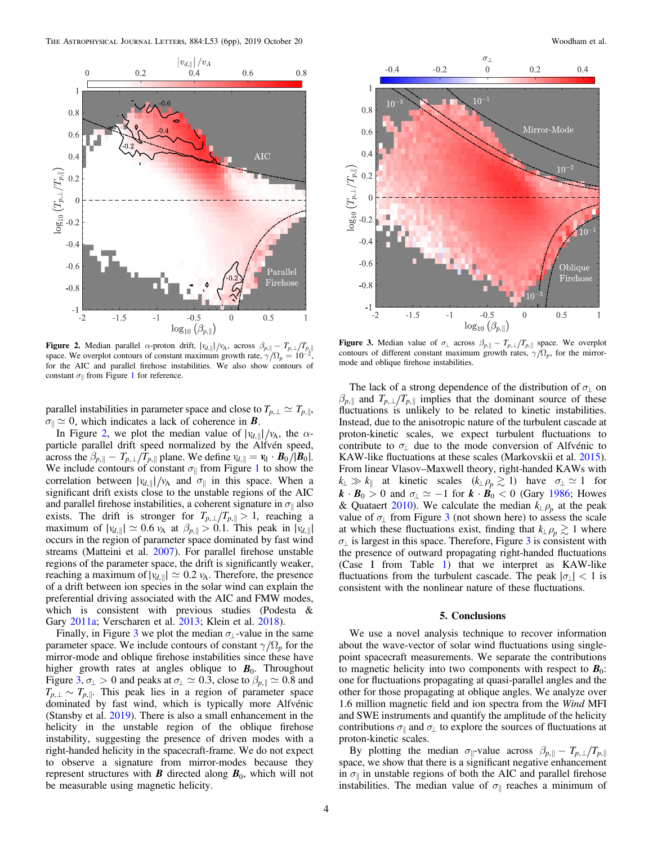<span id="page-3-0"></span>

Figure 2. Median parallel  $\alpha$ -proton drift,  $|v_{d,||}|/v_A$ , across  $\beta_{p,||} - T_{p,\perp}/T_{p,||}$ space. We overplot contours of constant maximum growth rate,  $\gamma/\Omega_p = 10^{-2}$ , for the AIC and parallel firehose instabilities. We also show contours of constant  $\sigma_{\parallel}$  from Figure [1](#page-2-0) for reference.

parallel instabilities in parameter space and close to  $T_{p,\perp} \simeq T_{p,\parallel}$ ,  $\sigma_{\parallel} \simeq 0$ , which indicates a lack of coherence in *B*.

In Figure 2, we plot the median value of  $|v_{d,||}|/v_A$ , the  $\alpha$ particle parallel drift speed normalized by the Alfvén speed, across the  $\beta_{p, \parallel} - T_{p, \perp}/T_{p, \parallel}$  plane. We define  $v_{d, \parallel} = v_d \cdot B_0 / |B_0|$ . We include contours of constant  $\sigma_{\parallel}$  from Figure [1](#page-2-0) to show the correlation between  $|v_{d,||}|/v_A$  and  $\sigma_{||}$  in this space. When a significant drift exists close to the unstable regions of the AIC and parallel firehose instabilities, a coherent signature in  $\sigma_{\parallel}$  also exists. The drift is stronger for  $T_{p,\perp}/T_{p,\parallel} > 1$ , reaching a maximum of  $|v_{d,\parallel}| \simeq 0.6 v_A$  at  $\beta_{p,\parallel} > 0.1$ . This peak in  $|v_{d,\parallel}|$ occurs in the region of parameter space dominated by fast wind streams (Matteini et al. [2007](#page-5-0)). For parallel firehose unstable regions of the parameter space, the drift is significantly weaker, reaching a maximum of  $|v_{d,||}| \simeq 0.2$   $v_A$ . Therefore, the presence of a drift between ion species in the solar wind can explain the preferential driving associated with the AIC and FMW modes, which is consistent with previous studies (Podesta & Gary [2011a](#page-5-0); Verscharen et al. [2013;](#page-5-0) Klein et al. [2018](#page-4-0)).

Finally, in Figure 3 we plot the median  $\sigma_{\perp}$ -value in the same parameter space. We include contours of constant  $\gamma/\Omega_p$  for the mirror-mode and oblique firehose instabilities since these have higher growth rates at angles oblique to  $B_0$ . Throughout Figure 3,  $\sigma_{\perp} > 0$  and peaks at  $\sigma_{\perp} \simeq 0.3$ , close to  $\beta_{p, \parallel} \simeq 0.8$  and  $T_{p,\perp} \sim T_{p,\parallel}$ . This peak lies in a region of parameter space dominated by fast wind, which is typically more Alfvénic (Stansby et al. [2019](#page-5-0)). There is also a small enhancement in the helicity in the unstable region of the oblique firehose instability, suggesting the presence of driven modes with a right-handed helicity in the spacecraft-frame. We do not expect to observe a signature from mirror-modes because they represent structures with  $\boldsymbol{B}$  directed along  $\boldsymbol{B}_0$ , which will not be measurable using magnetic helicity.



**Figure 3.** Median value of  $\sigma_{\perp}$  across  $\beta_{p, \parallel} - T_{p, \perp} / T_{p, \parallel}$  space. We overplot contours of different constant maximum growth rates,  $\gamma/\Omega_p$ , for the mirrormode and oblique firehose instabilities.

The lack of a strong dependence of the distribution of  $\sigma_{\perp}$  on  $\beta_{p, \parallel}$  and  $T_{p, \perp}/T_{p, \parallel}$  implies that the dominant source of these fluctuations is unlikely to be related to kinetic instabilities. Instead, due to the anisotropic nature of the turbulent cascade at proton-kinetic scales, we expect turbulent fluctuations to contribute to  $\sigma_{\perp}$  due to the mode conversion of Alfvénic to KAW-like fluctuations at these scales (Markovskii et al. [2015](#page-5-0)). From linear Vlasov–Maxwell theory, right-handed KAWs with  $k_{\perp} \gg k_{\parallel}$  at kinetic scales  $(k_{\perp} \rho_p \gtrsim 1)$  have  $\sigma_{\perp} \simeq 1$  for  $k \cdot B_0 > 0$  and  $\sigma_{\perp} \simeq -1$  for  $k \cdot \vec{B_0} < 0$  (Gary [1986;](#page-4-0) Howes & Quataert [2010](#page-4-0)). We calculate the median  $k_{\perp}$  $\rho_p$  at the peak value of  $\sigma_{\perp}$  from Figure 3 (not shown here) to assess the scale at which these fluctuations exist, finding that  $k_{\perp} \rho_p \gtrsim 1$  where  $\sigma_{\perp}$  is largest in this space. Therefore, Figure 3 is consistent with the presence of outward propagating right-handed fluctuations (Case I from Table [1](#page-2-0)) that we interpret as KAW-like fluctuations from the turbulent cascade. The peak  $|\sigma| < 1$  is consistent with the nonlinear nature of these fluctuations.

#### 5. Conclusions

We use a novel analysis technique to recover information about the wave-vector of solar wind fluctuations using singlepoint spacecraft measurements. We separate the contributions to magnetic helicity into two components with respect to  $\mathbf{B}_0$ : one for fluctuations propagating at quasi-parallel angles and the other for those propagating at oblique angles. We analyze over 1.6 million magnetic field and ion spectra from the Wind MFI and SWE instruments and quantify the amplitude of the helicity contributions  $\sigma_{\parallel}$  and  $\sigma_{\perp}$  to explore the sources of fluctuations at proton-kinetic scales.

By plotting the median  $\sigma_{\parallel}$ -value across  $\beta_{p,\parallel} - T_{p,\perp}/T_{p,\parallel}$ space, we show that there is a significant negative enhancement in  $\sigma_{\parallel}$  in unstable regions of both the AIC and parallel firehose instabilities. The median value of  $\sigma_{\parallel}$  reaches a minimum of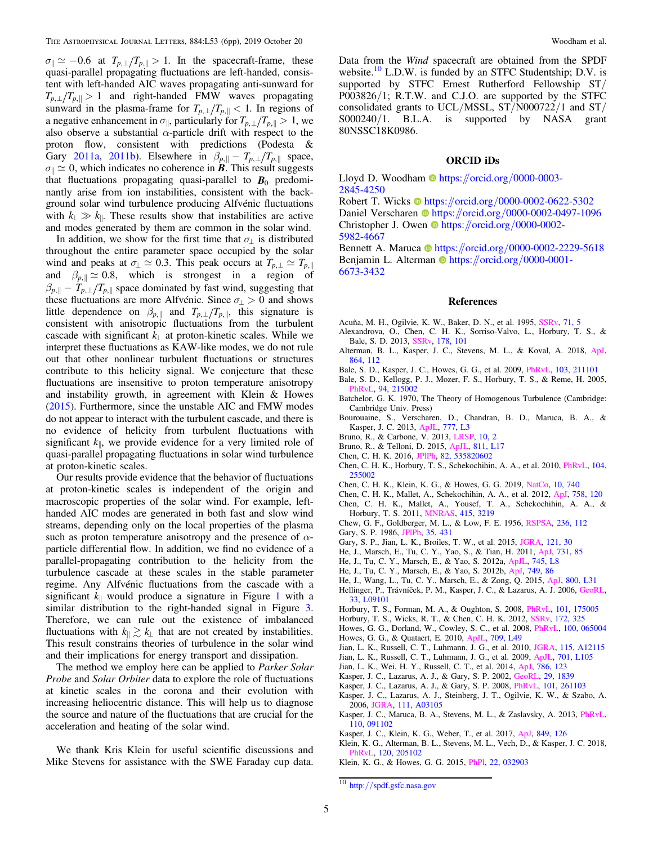<span id="page-4-0"></span> $\sigma_{\parallel} \simeq -0.6$  at  $T_{p,\perp}/T_{p,\parallel} > 1$ . In the spacecraft-frame, these quasi-parallel propagating fluctuations are left-handed, consistent with left-handed AIC waves propagating anti-sunward for  $T_{p,\perp}/T_{p,\parallel} > 1$  and right-handed FMW waves propagating sunward in the plasma-frame for  $T_{p,\perp}/T_{p,\parallel} < 1$ . In regions of a negative enhancement in  $\sigma_{\parallel}$ , particularly for  $T_{p,\perp}/T_{p,\parallel} > 1$ , we also observe a substantial  $\alpha$ -particle drift with respect to the proton flow, consistent with predictions (Podesta & Gary [2011a](#page-5-0), [2011b](#page-5-0)). Elsewhere in  $\beta_{p, \parallel} - T_{p, \perp} / T_{p, \parallel}$  space,  $\sigma_{\parallel} \simeq 0$ , which indicates no coherence in *B*. This result suggests that fluctuations propagating quasi-parallel to  $B_0$  predominantly arise from ion instabilities, consistent with the background solar wind turbulence producing Alfvénic fluctuations with  $k_{\perp} \gg k_{\parallel}$ . These results show that instabilities are active and modes generated by them are common in the solar wind.

In addition, we show for the first time that  $\sigma_{\perp}$  is distributed throughout the entire parameter space occupied by the solar wind and peaks at  $\sigma_{\perp} \simeq 0.3$ . This peak occurs at  $T_{p,\perp} \simeq T_{p,\parallel}$ and  $\beta_{p,\parallel} \simeq 0.8$ , which is strongest in a region of  $\beta_{p, \parallel} - T_{p, \perp}/T_{p, \parallel}$  space dominated by fast wind, suggesting that these fluctuations are more Alfvénic. Since  $\sigma_{\perp} > 0$  and shows little dependence on  $\beta_{p, \parallel}$  and  $T_{p, \perp}/T_{p, \parallel}$ , this signature is consistent with anisotropic fluctuations from the turbulent cascade with significant  $k_{\perp}$  at proton-kinetic scales. While we interpret these fluctuations as KAW-like modes, we do not rule out that other nonlinear turbulent fluctuations or structures contribute to this helicity signal. We conjecture that these fluctuations are insensitive to proton temperature anisotropy and instability growth, in agreement with Klein & Howes (2015). Furthermore, since the unstable AIC and FMW modes do not appear to interact with the turbulent cascade, and there is no evidence of helicity from turbulent fluctuations with significant  $k_{\parallel}$ , we provide evidence for a very limited role of quasi-parallel propagating fluctuations in solar wind turbulence at proton-kinetic scales.

Our results provide evidence that the behavior of fluctuations at proton-kinetic scales is independent of the origin and macroscopic properties of the solar wind. For example, lefthanded AIC modes are generated in both fast and slow wind streams, depending only on the local properties of the plasma such as proton temperature anisotropy and the presence of  $\alpha$ particle differential flow. In addition, we find no evidence of a parallel-propagating contribution to the helicity from the turbulence cascade at these scales in the stable parameter regime. Any Alfvénic fluctuations from the cascade with a significant  $k_{\parallel}$  would produce a signature in Figure [1](#page-2-0) with a similar distribution to the right-handed signal in Figure [3.](#page-3-0) Therefore, we can rule out the existence of imbalanced fluctuations with  $k_{\parallel} \gtrsim k_{\perp}$  that are not created by instabilities. This result constrains theories of turbulence in the solar wind and their implications for energy transport and dissipation.

The method we employ here can be applied to *Parker Solar* Probe and Solar Orbiter data to explore the role of fluctuations at kinetic scales in the corona and their evolution with increasing heliocentric distance. This will help us to diagnose the source and nature of the fluctuations that are crucial for the acceleration and heating of the solar wind.

We thank Kris Klein for useful scientific discussions and Mike Stevens for assistance with the SWE Faraday cup data. Data from the Wind spacecraft are obtained from the SPDF website.<sup>10</sup> L.D.W. is funded by an STFC Studentship; D.V. is supported by STFC Ernest Rutherford Fellowship ST/ P003826/1; R.T.W. and C.J.O. are supported by the STFC consolidated grants to UCL/MSSL, ST/N000722/1 and ST/ S000240/1. B.L.A. is supported by NASA grant 80NSSC18K0986.

## ORCID iDs

Lloyd D. Woodha[m](https://orcid.org/0000-0003-2845-4250)  $\Phi$  [https:](https://orcid.org/0000-0003-2845-4250)//orcid.org/[0000-0003-](https://orcid.org/0000-0003-2845-4250) [2845-4250](https://orcid.org/0000-0003-2845-4250)

Robert T. Wick[s](https://orcid.org/0000-0002-0622-5302)  $\bullet$  [https:](https://orcid.org/0000-0002-0622-5302)//orcid.org/[0000-0002-0622-5302](https://orcid.org/0000-0002-0622-5302) Da[n](https://orcid.org/0000-0002-0497-1096)iel Verscharen  $\bullet$  [https:](https://orcid.org/0000-0002-0497-1096)//orcid.org/[0000-0002-0497-1096](https://orcid.org/0000-0002-0497-1096) Christopher J. Owe[n](https://orcid.org/0000-0002-5982-4667)  $\bullet$  [https:](https://orcid.org/0000-0002-5982-4667)//orcid.org/[0000-0002-](https://orcid.org/0000-0002-5982-4667) [5982-4667](https://orcid.org/0000-0002-5982-4667)

Bennett A. Maruca **[https:](https://orcid.org/0000-0002-2229-5618)//orcid.org/[0000-0002-2229-5618](https://orcid.org/0000-0002-2229-5618)** Benjamin L. Alterman **[https:](https://orcid.org/0000-0001-6673-3432)//orcid.org/[0000-0001-](https://orcid.org/0000-0001-6673-3432)** [6673-3432](https://orcid.org/0000-0001-6673-3432)

#### References

- Acuña, M. H., Ogilvie, K. W., Baker, D. N., et al. 1995, [SSRv,](https://doi.org/10.1007/BF00751323) [71, 5](https://ui.adsabs.harvard.edu/abs/1995SSRv...71....5A/abstract)
- Alexandrova, O., Chen, C. H. K., Sorriso-Valvo, L., Horbury, T. S., & Bale, S. D. 2013, [SSRv](https://doi.org/10.1007/s11214-013-0004-8), [178, 101](https://ui.adsabs.harvard.edu/abs/2013SSRv..178..101A/abstract)
- Alterman, B. L., Kasper, J. C., Stevens, M. L., & Koval, A. 2018, [ApJ](https://doi.org/10.3847/1538-4357/aad23f)[,](https://ui.adsabs.harvard.edu/abs/2018ApJ...864..112A/abstract) [864, 112](https://ui.adsabs.harvard.edu/abs/2018ApJ...864..112A/abstract)
- Bale, S. D., Kasper, J. C., Howes, G. G., et al. 2009, [PhRvL](https://doi.org/10.1103/PhysRevLett.103.211101), [103, 211101](https://ui.adsabs.harvard.edu/abs/2009PhRvL.103u1101B/abstract)
- Bale, S. D., Kellogg, P. J., Mozer, F. S., Horbury, T. S., & Reme, H. 2005, [PhRvL](https://doi.org/10.1103/PhysRevLett.94.215002), [94, 215002](https://ui.adsabs.harvard.edu/abs/2005PhRvL..94u5002B/abstract)
- Batchelor, G. K. 1970, The Theory of Homogenous Turbulence (Cambridge: Cambridge Univ. Press)
- Bourouaine, S., Verscharen, D., Chandran, B. D., Maruca, B. A., & Kasper, J. C. 2013, [ApJL,](https://doi.org/10.1088/2041-8205/777/1/L3) [777, L3](https://ui.adsabs.harvard.edu/abs/2013ApJ...777L...3B/abstract)
- Bruno, R., & Carbone, V. 2013, [LRSP,](https://doi.org/10.12942/lrsp-2013-2) [10, 2](https://ui.adsabs.harvard.edu/abs/2013LRSP...10....2B/abstract)
- Bruno, R., & Telloni, D. 2015, [ApJL](https://doi.org/10.1088/2041-8205/811/2/L17), [811, L17](https://ui.adsabs.harvard.edu/abs/2015ApJ...811L..17B/abstract)
- Chen, C. H. K. 2016, [JPlPh,](https://doi.org/10.1017/S0022377816001124) [82, 535820602](https://ui.adsabs.harvard.edu/abs/2016JPlPh..82f5302C/abstract)
- Chen, C. H. K., Horbury, T. S., Schekochihin, A. A., et al. 2010, [PhRvL,](https://doi.org/10.1103/PhysRevLett.104.255002) [104,](https://ui.adsabs.harvard.edu/abs/2010PhRvL.104y5002C/abstract) [255002](https://ui.adsabs.harvard.edu/abs/2010PhRvL.104y5002C/abstract)
- Chen, C. H. K., Klein, K. G., & Howes, G. G. 2019, [NatCo](https://doi.org/10.1038/s41467-019-08435-3), [10, 740](https://ui.adsabs.harvard.edu/abs/2019NatCo..10..740C/abstract)
- Chen, C. H. K., Mallet, A., Schekochihin, A. A., et al. 2012, [ApJ](https://doi.org/10.1088/0004-637X/758/2/120), [758, 120](https://ui.adsabs.harvard.edu/abs/2012ApJ...758..120C/abstract)
- Chen, C. H. K., Mallet, A., Yousef, T. A., Schekochihin, A. A., & Horbury, T. S. 2011, [MNRAS,](https://doi.org/10.1111/j.1365-2966.2011.18933.x) [415, 3219](https://ui.adsabs.harvard.edu/abs/2011MNRAS.415.3219C/abstract)
- Chew, G. F., Goldberger, M. L., & Low, F. E. 1956, [RSPSA,](https://doi.org/10.1098/rspa.1956.0116) [236, 112](https://ui.adsabs.harvard.edu/abs/1956RSPSA.236..112C/abstract) Gary, S. P. 1986, [JPlPh](https://doi.org/10.1017/S0022377800011442), [35, 431](https://ui.adsabs.harvard.edu/abs/1986JPlPh..35..431G/abstract)
- 
- Gary, S. P., Jian, L. K., Broiles, T. W., et al. 2015, [JGRA,](https://doi.org/10.1002/2015JA021935) [121, 30](https://ui.adsabs.harvard.edu/abs/2016JGRA..121...30G/abstract) He, J., Marsch, E., Tu, C. Y., Yao, S., & Tian, H. 2011, [ApJ,](https://doi.org/10.1088/0004-637X/731/2/85) [731, 85](https://ui.adsabs.harvard.edu/abs/2011ApJ...731...85H/abstract)
- He, J., Tu, C. Y., Marsch, E., & Yao, S. 2012a, [ApJL](https://doi.org/10.1088/2041-8205/745/1/L8), [745, L8](https://ui.adsabs.harvard.edu/abs/2012ApJ...745L...8H/abstract)
- He, J., Tu, C. Y., Marsch, E., & Yao, S. 2012b, [ApJ](https://doi.org/10.1088/0004-637X/749/1/86), [749, 86](https://ui.adsabs.harvard.edu/abs/2012ApJ...749...86H/abstract)
- He, J., Wang, L., Tu, C. Y., Marsch, E., & Zong, Q. 2015, [ApJ](https://doi.org/10.1088/2041-8205/800/2/L31), [800, L31](https://ui.adsabs.harvard.edu/abs/2015ApJ...800L..31H/abstract)
- Hellinger, P., Trávníček, P. M., Kasper, J. C., & Lazarus, A. J. 2006, [GeoRL](https://doi.org/10.1029/2006GL025925)[,](https://ui.adsabs.harvard.edu/abs/2006GeoRL..33.9101H/abstract) [33, L09101](https://ui.adsabs.harvard.edu/abs/2006GeoRL..33.9101H/abstract)
- Horbury, T. S., Forman, M. A., & Oughton, S. 2008, [PhRvL,](https://doi.org/10.1103/PhysRevLett.101.175005) [101, 175005](https://ui.adsabs.harvard.edu/abs/2008PhRvL.101q5005H/abstract)
- Horbury, T. S., Wicks, R. T., & Chen, C. H. K. 2012, [SSRv,](https://doi.org/10.1007/s11214-011-9821-9) [172, 325](https://ui.adsabs.harvard.edu/abs/2012SSRv..172..325H/abstract)
- Howes, G. G., Dorland, W., Cowley, S. C., et al. 2008, [PhRvL,](https://doi.org/10.1103/PhysRevLett.100.065004) [100, 065004](https://ui.adsabs.harvard.edu/abs/2008PhRvL.100f5004H/abstract) Howes, G. G., & Quataert, E. 2010, [ApJL](https://doi.org/10.1088/2041-8205/709/1/L49), [709, L49](https://ui.adsabs.harvard.edu/abs/2010ApJ...709L..49H/abstract)
- Jian, L. K., Russell, C. T., Luhmann, J. G., et al. 2010, [JGRA,](https://doi.org/10.1029/2010JA015737) [115, A12115](https://ui.adsabs.harvard.edu/abs/2010JGRA..11512115J/abstract)
- Jian, L. K., Russell, C. T., Luhmann, J. G., et al. 2009, [ApJL](https://doi.org/10.1088/0004-637X/701/2/L105), [701, L105](https://ui.adsabs.harvard.edu/abs/2009ApJ...701L.105J/abstract)
- Jian, L. K., Wei, H. Y., Russell, C. T., et al. 2014, [ApJ,](https://doi.org/10.1088/0004-637X/786/2/123) [786, 123](https://ui.adsabs.harvard.edu/abs/2014ApJ...786..123J/abstract)
- Kasper, J. C., Lazarus, A. J., & Gary, S. P. 2002, [GeoRL](https://doi.org/10.1029/2002GL015128), [29, 1839](https://ui.adsabs.harvard.edu/abs/2002GeoRL..29.1839K/abstract)
- Kasper, J. C., Lazarus, A. J., & Gary, S. P. 2008, [PhRvL,](https://doi.org/10.1103/PhysRevLett.101.261103) [101, 261103](https://ui.adsabs.harvard.edu/abs/2008PhRvL.101z1103K/abstract)
- Kasper, J. C., Lazarus, A. J., Steinberg, J. T., Ogilvie, K. W., & Szabo, A. 2006, [JGRA](https://doi.org/10.1029/2005JA011442), [111, A03105](https://ui.adsabs.harvard.edu/abs/2006JGRA..111.3105K/abstract)
- Kasper, J. C., Maruca, B. A., Stevens, M. L., & Zaslavsky, A. 2013, [PhRvL](https://doi.org/10.1103/PhysRevLett.110.091102)[,](https://ui.adsabs.harvard.edu/abs/2013PhRvL.110i1102K/abstract) [110, 091102](https://ui.adsabs.harvard.edu/abs/2013PhRvL.110i1102K/abstract)
- Kasper, J. C., Klein, K. G., Weber, T., et al. 2017, [ApJ,](https://doi.org/10.3847/1538-4357/aa84b1) [849, 126](https://ui.adsabs.harvard.edu/abs/2017ApJ...849..126K/abstract)
- Klein, K. G., Alterman, B. L., Stevens, M. L., Vech, D., & Kasper, J. C. 2018, [PhRvL](https://doi.org/10.1103/PhysRevLett.120.205102), [120, 205102](https://ui.adsabs.harvard.edu/abs/2018PhRvL.120t5102K/abstract)
- Klein, K. G., & Howes, G. G. 2015, [PhPl,](https://doi.org/10.1063/1.4914933) [22, 032903](https://ui.adsabs.harvard.edu/abs/2015PhPl...22c2903K/abstract)

<sup>10</sup> http://[spdf.gsfc.nasa.gov](http://spdf.gsfc.nasa.gov)